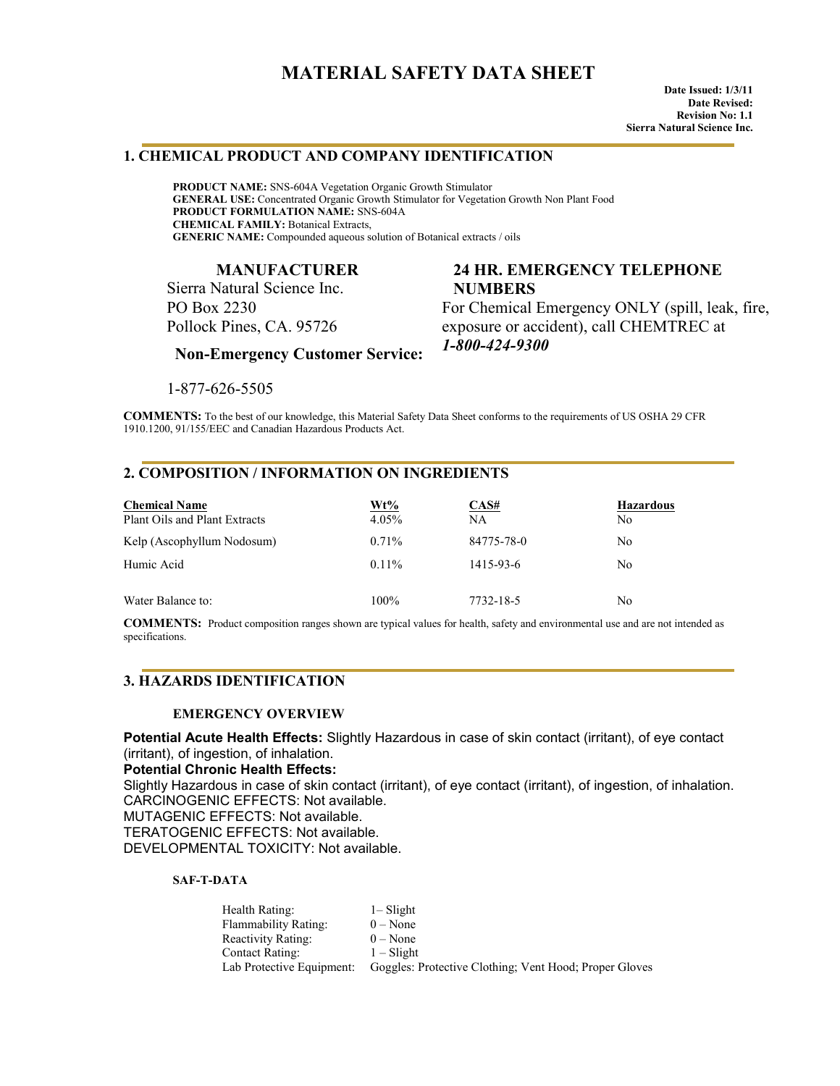# **MATERIAL SAFETY DATA SHEET**

### **1. CHEMICAL PRODUCT AND COMPANY IDENTIFICATION**

**PRODUCT NAME:** SNS-604A Vegetation Organic Growth Stimulator **GENERAL USE:** Concentrated Organic Growth Stimulator for Vegetation Growth Non Plant Food **PRODUCT FORMULATION NAME:** SNS-604A **CHEMICAL FAMILY:** Botanical Extracts, **GENERIC NAME:** Compounded aqueous solution of Botanical extracts / oils

### **MANUFACTURER**

Sierra Natural Science Inc. PO Box 2230 Pollock Pines, CA. 95726

# **24 HR. EMERGENCY TELEPHONE NUMBERS**

For Chemical Emergency ONLY (spill, leak, fire, exposure or accident), call CHEMTREC at *1-800-424-9300*

 **Non-Emergency Customer Service:**

1-877-626-5505

**COMMENTS:** To the best of our knowledge, this Material Safety Data Sheet conforms to the requirements of US OSHA 29 CFR 1910.1200, 91/155/EEC and Canadian Hazardous Products Act.

### **2. COMPOSITION / INFORMATION ON INGREDIENTS**

| <b>Chemical Name</b><br>Plant Oils and Plant Extracts | Wt%<br>4.05% | CAS#<br>NA | <b>Hazardous</b><br>N <sub>0</sub> |
|-------------------------------------------------------|--------------|------------|------------------------------------|
| Kelp (Ascophyllum Nodosum)                            | $0.71\%$     | 84775-78-0 | N <sub>0</sub>                     |
| Humic Acid                                            | $0.11\%$     | 1415-93-6  | No.                                |
| Water Balance to:                                     | 100%         | 7732-18-5  | N <sub>0</sub>                     |

**COMMENTS:** Product composition ranges shown are typical values for health, safety and environmental use and are not intended as specifications.

### **3. HAZARDS IDENTIFICATION**

#### **EMERGENCY OVERVIEW**

**Potential Acute Health Effects:** Slightly Hazardous in case of skin contact (irritant), of eye contact (irritant), of ingestion, of inhalation.

#### **Potential Chronic Health Effects:**

Slightly Hazardous in case of skin contact (irritant), of eye contact (irritant), of ingestion, of inhalation. CARCINOGENIC EFFECTS: Not available.

MUTAGENIC EFFECTS: Not available.

TERATOGENIC EFFECTS: Not available.

DEVELOPMENTAL TOXICITY: Not available.

#### **SAF-T-DATA**

| Health Rating:            | $1 -$ Slight                                           |
|---------------------------|--------------------------------------------------------|
| Flammability Rating:      | $0 - None$                                             |
| Reactivity Rating:        | $0 - None$                                             |
| Contact Rating:           | $1 - S$ light                                          |
| Lab Protective Equipment: | Goggles: Protective Clothing: Vent Hood: Proper Gloves |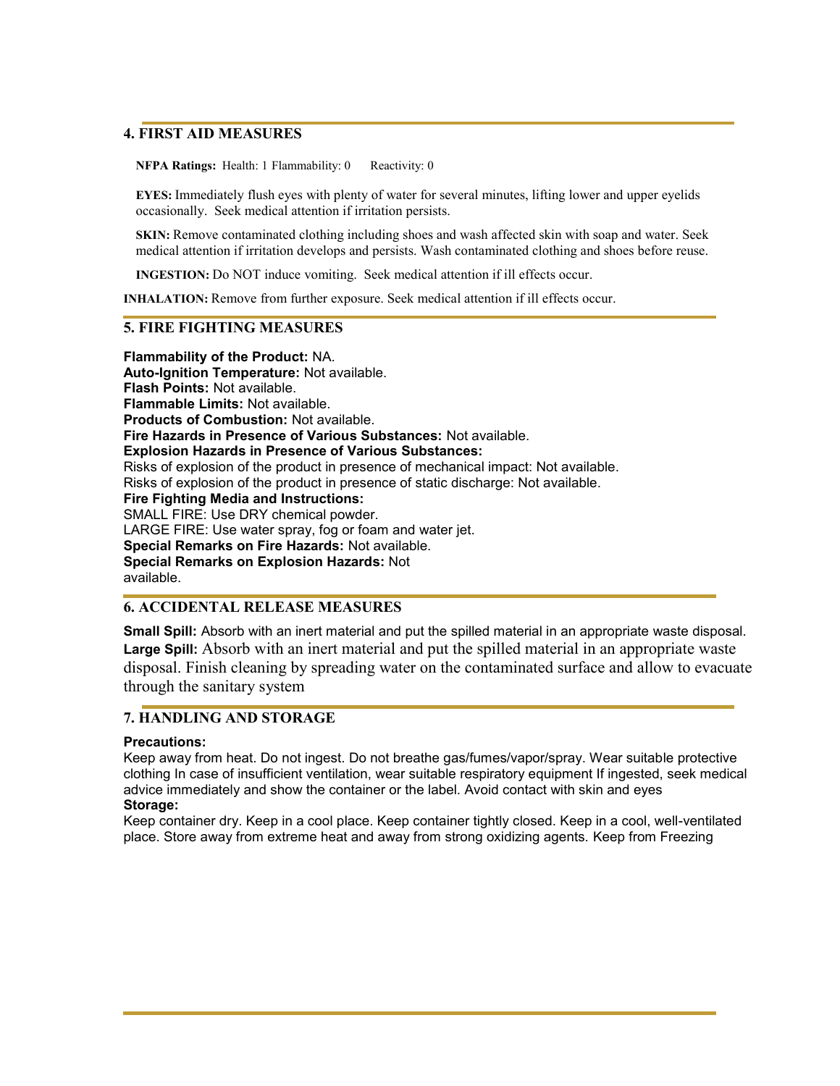## **4. FIRST AID MEASURES**

**NFPA Ratings:** Health: 1 Flammability: 0 Reactivity: 0

**EYES:** Immediately flush eyes with plenty of water for several minutes, lifting lower and upper eyelids occasionally. Seek medical attention if irritation persists.

**SKIN:** Remove contaminated clothing including shoes and wash affected skin with soap and water. Seek medical attention if irritation develops and persists. Wash contaminated clothing and shoes before reuse.

**INGESTION:** Do NOT induce vomiting. Seek medical attention if ill effects occur.

**INHALATION:** Remove from further exposure. Seek medical attention if ill effects occur.

### **5. FIRE FIGHTING MEASURES**

**Flammability of the Product:** NA. **Auto-Ignition Temperature:** Not available. **Flash Points:** Not available. **Flammable Limits:** Not available. **Products of Combustion:** Not available. **Fire Hazards in Presence of Various Substances:** Not available. **Explosion Hazards in Presence of Various Substances:**  Risks of explosion of the product in presence of mechanical impact: Not available. Risks of explosion of the product in presence of static discharge: Not available. **Fire Fighting Media and Instructions:**  SMALL FIRE: Use DRY chemical powder. LARGE FIRE: Use water spray, fog or foam and water jet. **Special Remarks on Fire Hazards:** Not available. **Special Remarks on Explosion Hazards:** Not available.

# **6. ACCIDENTAL RELEASE MEASURES**

**Small Spill:** Absorb with an inert material and put the spilled material in an appropriate waste disposal. Large Spill: Absorb with an inert material and put the spilled material in an appropriate waste disposal. Finish cleaning by spreading water on the contaminated surface and allow to evacuate through the sanitary system

# **7. HANDLING AND STORAGE**

#### **Precautions:**

Keep away from heat. Do not ingest. Do not breathe gas/fumes/vapor/spray. Wear suitable protective clothing In case of insufficient ventilation, wear suitable respiratory equipment If ingested, seek medical advice immediately and show the container or the label. Avoid contact with skin and eyes **Storage:** 

Keep container dry. Keep in a cool place. Keep container tightly closed. Keep in a cool, well-ventilated place. Store away from extreme heat and away from strong oxidizing agents. Keep from Freezing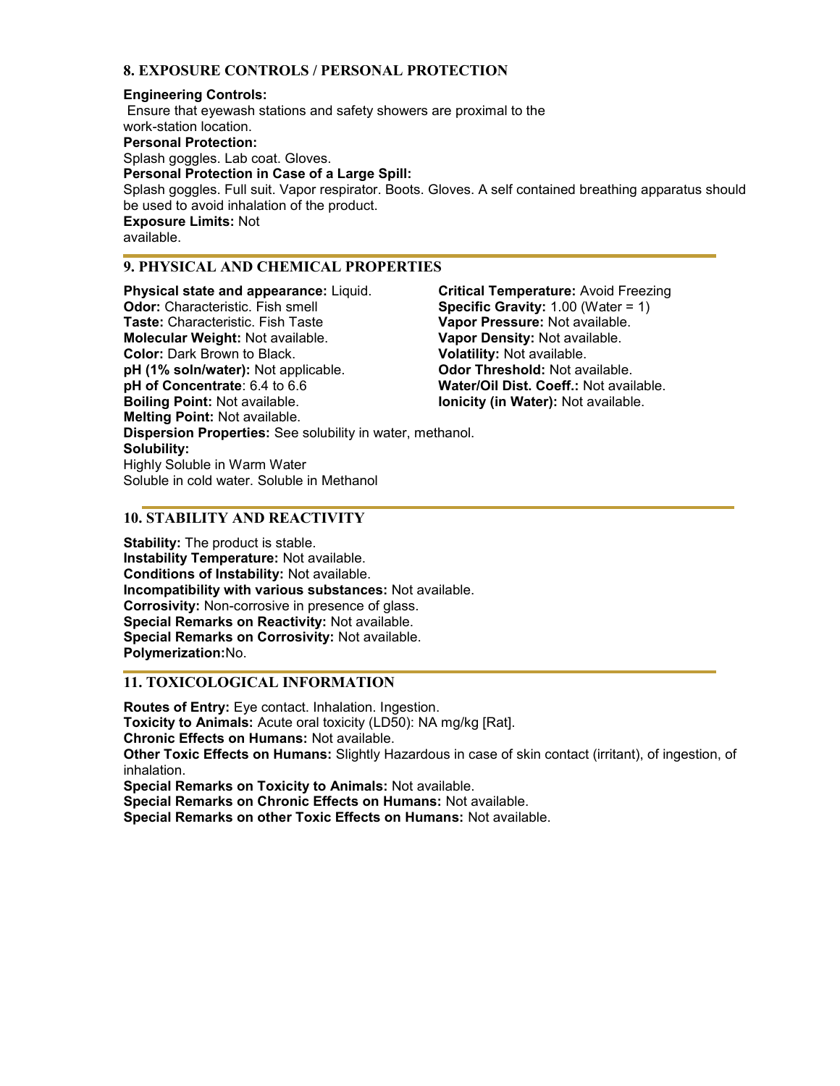# **8. EXPOSURE CONTROLS / PERSONAL PROTECTION**

### **Engineering Controls:**

 Ensure that eyewash stations and safety showers are proximal to the work-station location. **Personal Protection:**  Splash goggles. Lab coat. Gloves. **Personal Protection in Case of a Large Spill:**  Splash goggles. Full suit. Vapor respirator. Boots. Gloves. A self contained breathing apparatus should be used to avoid inhalation of the product. **Exposure Limits:** Not available.

# **9. PHYSICAL AND CHEMICAL PROPERTIES**

**Physical state and appearance:** Liquid. **Odor:** Characteristic. Fish smell **Taste:** Characteristic. Fish Taste **Molecular Weight:** Not available. **Color:** Dark Brown to Black. **pH (1% soln/water):** Not applicable. **pH of Concentrate**: 6.4 to 6.6 **Boiling Point:** Not available. **Melting Point:** Not available. **Dispersion Properties:** See solubility in water, methanol. **Solubility:**  Highly Soluble in Warm Water Soluble in cold water. Soluble in Methanol

**Critical Temperature:** Avoid Freezing **Specific Gravity:** 1.00 (Water = 1) **Vapor Pressure:** Not available. **Vapor Density:** Not available. **Volatility:** Not available. **Odor Threshold:** Not available. **Water/Oil Dist. Coeff.:** Not available. **Ionicity (in Water):** Not available.

# **10. STABILITY AND REACTIVITY**

**Stability:** The product is stable. **Instability Temperature:** Not available. **Conditions of Instability:** Not available. **Incompatibility with various substances:** Not available. **Corrosivity:** Non-corrosive in presence of glass. **Special Remarks on Reactivity:** Not available. **Special Remarks on Corrosivity:** Not available. **Polymerization:**No.

# **11. TOXICOLOGICAL INFORMATION**

**Routes of Entry:** Eye contact. Inhalation. Ingestion. **Toxicity to Animals:** Acute oral toxicity (LD50): NA mg/kg [Rat]. **Chronic Effects on Humans:** Not available. **Other Toxic Effects on Humans:** Slightly Hazardous in case of skin contact (irritant), of ingestion, of inhalation.

**Special Remarks on Toxicity to Animals:** Not available. **Special Remarks on Chronic Effects on Humans:** Not available.

**Special Remarks on other Toxic Effects on Humans:** Not available.